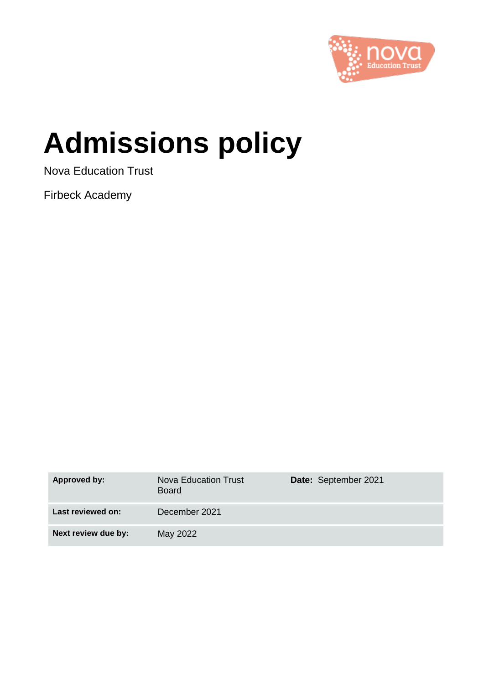

# **Admissions policy**

Nova Education Trust

Firbeck Academy

| Approved by:        | Nova Education Trust<br><b>Board</b> | Date: September 2021 |
|---------------------|--------------------------------------|----------------------|
| Last reviewed on:   | December 2021                        |                      |
| Next review due by: | May 2022                             |                      |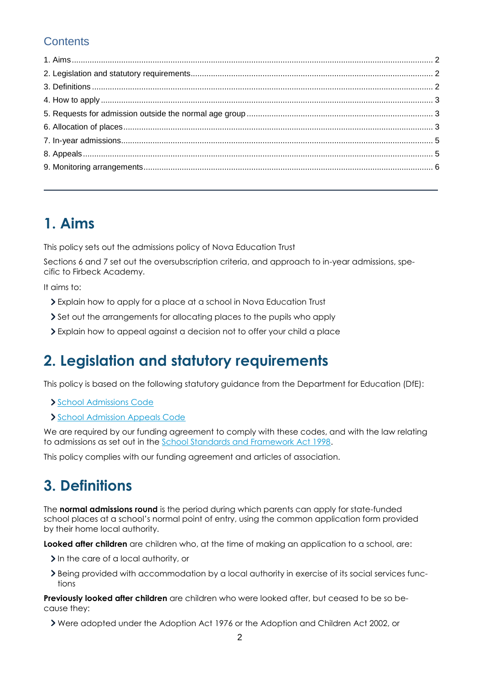### **Contents**

### **1. Aims**

This policy sets out the admissions policy of Nova Education Trust

Sections 6 and 7 set out the oversubscription criteria, and approach to in-year admissions, specific to Firbeck Academy.

It aims to:

- Explain how to apply for a place at a school in Nova Education Trust
- Set out the arrangements for allocating places to the pupils who apply
- Explain how to appeal against a decision not to offer your child a place

### **2. Legislation and statutory requirements**

This policy is based on the following statutory guidance from the Department for Education (DfE):

- [School Admissions Code](https://www.gov.uk/government/publications/school-admissions-code--2)
- [School Admission Appeals Code](https://www.gov.uk/government/publications/school-admissions-appeals-code)

We are required by our funding agreement to comply with these codes, and with the law relating to admissions as set out in the [School Standards and Framework Act 1998.](http://www.legislation.gov.uk/ukpga/1998/31/contents)

This policy complies with our funding agreement and articles of association.

### **3. Definitions**

The **normal admissions round** is the period during which parents can apply for state-funded school places at a school's normal point of entry, using the common application form provided by their home local authority.

**Looked after children** are children who, at the time of making an application to a school, are:

- In the care of a local authority, or
- Being provided with accommodation by a local authority in exercise of its social services functions

**Previously looked after children** are children who were looked after, but ceased to be so because they:

Were adopted under the Adoption Act 1976 or the Adoption and Children Act 2002, or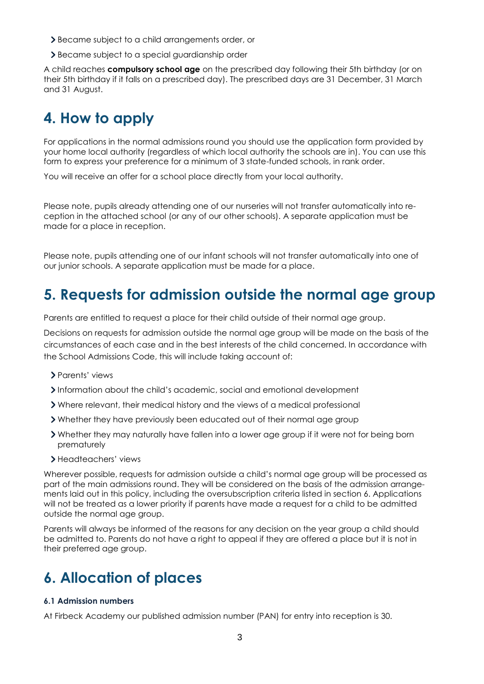- Became subject to a child arrangements order, or
- Became subject to a special guardianship order

A child reaches **compulsory school age** on the prescribed day following their 5th birthday (or on their 5th birthday if it falls on a prescribed day). The prescribed days are 31 December, 31 March and 31 August.

## **4. How to apply**

For applications in the normal admissions round you should use the application form provided by your home local authority (regardless of which local authority the schools are in). You can use this form to express your preference for a minimum of 3 state-funded schools, in rank order.

You will receive an offer for a school place directly from your local authority.

Please note, pupils already attending one of our nurseries will not transfer automatically into reception in the attached school (or any of our other schools). A separate application must be made for a place in reception.

Please note, pupils attending one of our infant schools will not transfer automatically into one of our junior schools. A separate application must be made for a place.

### **5. Requests for admission outside the normal age group**

Parents are entitled to request a place for their child outside of their normal age group.

Decisions on requests for admission outside the normal age group will be made on the basis of the circumstances of each case and in the best interests of the child concerned. In accordance with the School Admissions Code, this will include taking account of:

- Parents' views
- Information about the child's academic, social and emotional development
- Where relevant, their medical history and the views of a medical professional
- Whether they have previously been educated out of their normal age group
- Whether they may naturally have fallen into a lower age group if it were not for being born prematurely
- Headteachers' views

Wherever possible, requests for admission outside a child's normal age group will be processed as part of the main admissions round. They will be considered on the basis of the admission arrangements laid out in this policy, including the oversubscription criteria listed in section 6. Applications will not be treated as a lower priority if parents have made a request for a child to be admitted outside the normal age group.

Parents will always be informed of the reasons for any decision on the year group a child should be admitted to. Parents do not have a right to appeal if they are offered a place but it is not in their preferred age group.

### **6. Allocation of places**

#### **6.1 Admission numbers**

At Firbeck Academy our published admission number (PAN) for entry into reception is 30.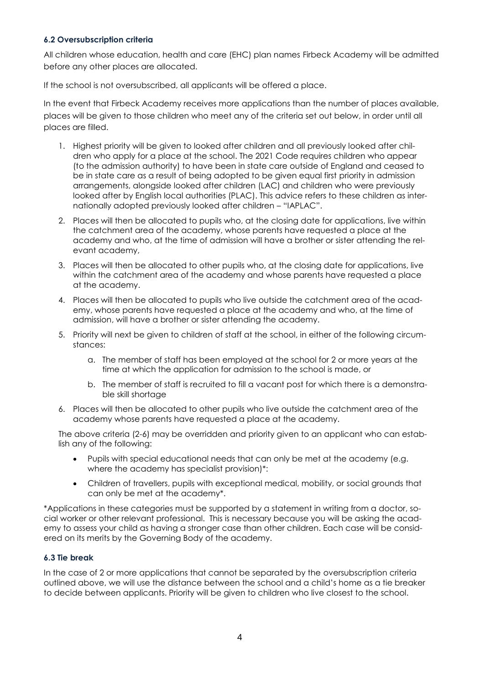#### **6.2 Oversubscription criteria**

All children whose education, health and care (EHC) plan names Firbeck Academy will be admitted before any other places are allocated.

If the school is not oversubscribed, all applicants will be offered a place.

In the event that Firbeck Academy receives more applications than the number of places available, places will be given to those children who meet any of the criteria set out below, in order until all places are filled.

- 1. Highest priority will be given to looked after children and all previously looked after children who apply for a place at the school. The 2021 Code requires children who appear (to the admission authority) to have been in state care outside of England and ceased to be in state care as a result of being adopted to be given equal first priority in admission arrangements, alongside looked after children (LAC) and children who were previously looked after by English local authorities (PLAC). This advice refers to these children as internationally adopted previously looked after children – "IAPLAC".
- 2. Places will then be allocated to pupils who, at the closing date for applications, live within the catchment area of the academy, whose parents have requested a place at the academy and who, at the time of admission will have a brother or sister attending the relevant academy,
- 3. Places will then be allocated to other pupils who, at the closing date for applications, live within the catchment area of the academy and whose parents have requested a place at the academy.
- 4. Places will then be allocated to pupils who live outside the catchment area of the academy, whose parents have requested a place at the academy and who, at the time of admission, will have a brother or sister attending the academy.
- 5. Priority will next be given to children of staff at the school, in either of the following circumstances:
	- a. The member of staff has been employed at the school for 2 or more years at the time at which the application for admission to the school is made, or
	- b. The member of staff is recruited to fill a vacant post for which there is a demonstrable skill shortage
- 6. Places will then be allocated to other pupils who live outside the catchment area of the academy whose parents have requested a place at the academy.

The above criteria (2-6) may be overridden and priority given to an applicant who can establish any of the following:

- Pupils with special educational needs that can only be met at the academy (e.g. where the academy has specialist provision)\*:
- Children of travellers, pupils with exceptional medical, mobility, or social grounds that can only be met at the academy\*.

\*Applications in these categories must be supported by a statement in writing from a doctor, social worker or other relevant professional. This is necessary because you will be asking the academy to assess your child as having a stronger case than other children. Each case will be considered on its merits by the Governing Body of the academy.

#### **6.3 Tie break**

In the case of 2 or more applications that cannot be separated by the oversubscription criteria outlined above, we will use the distance between the school and a child's home as a tie breaker to decide between applicants. Priority will be given to children who live closest to the school.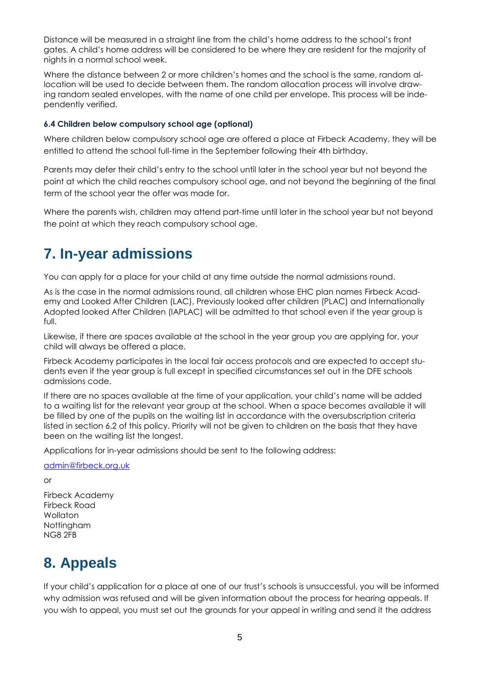Distance will be measured in a straight line from the child's home address to the school's front gates. A child's home address will be considered to be where they are resident for the majority of nights in a normal school week.

Where the distance between 2 or more children's homes and the school is the same, random allocation will be used to decide between them. The random allocation process will involve drawing random sealed envelopes, with the name of one child per envelope. This process will be independently verified.

#### **6.4 Children below compulsory school age (optional)**

Where children below compulsory school age are offered a place at Firbeck Academy, they will be entitled to attend the school full-time in the September following their 4th birthday.

Parents may defer their child's entry to the school until later in the school year but not beyond the point at which the child reaches compulsory school age, and not beyond the beginning of the final term of the school year the offer was made for.

Where the parents wish, children may attend part-time until later in the school year but not beyond the point at which they reach compulsory school age.

### **7. In-year admissions**

You can apply for a place for your child at any time outside the normal admissions round.

As is the case in the normal admissions round, all children whose EHC plan names Firbeck Academy and Looked After Children (LAC), Previously looked after children (PLAC) and Internationally Adopted looked After Children (IAPLAC) will be admitted to that school even if the year group is full.

Likewise, if there are spaces available at the school in the year group you are applying for, your child will always be offered a place.

Firbeck Academy participates in the local fair access protocols and are expected to accept students even if the year group is full except in specified circumstances set out in the DFE schools admissions code.

If there are no spaces available at the time of your application, your child's name will be added to a waiting list for the relevant year group at the school. When a space becomes available it will be filled by one of the pupils on the waiting list in accordance with the oversubscription criteria listed in section 6.2 of this policy. Priority will not be given to children on the basis that they have been on the waiting list the longest.

Applications for in-year admissions should be sent to the following address:

#### [admin@firbeck.org.uk](mailto:admin@firbeck.org.uk)

or

Firbeck Academy Firbeck Road Wollaton Nottingham NG8 2FB

### **8. Appeals**

If your child's application for a place at one of our trust's schools is unsuccessful, you will be informed why admission was refused and will be given information about the process for hearing appeals. If you wish to appeal, you must set out the grounds for your appeal in writing and send it the address